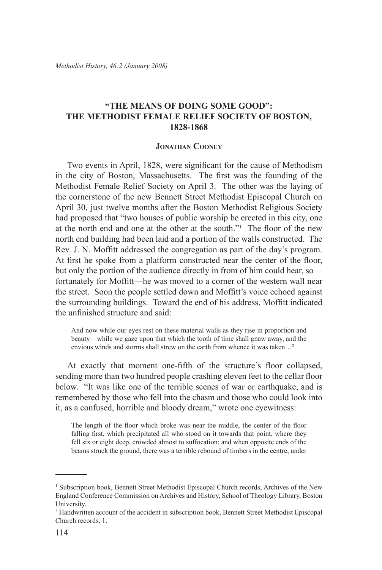## **"The Means of Doing Some Good": The Methodist Female Relief Society of Boston, 1828-1868**

## **Jonathan Cooney**

Two events in April, 1828, were significant for the cause of Methodism in the city of Boston, Massachusetts. The first was the founding of the Methodist Female Relief Society on April 3. The other was the laying of the cornerstone of the new Bennett Street Methodist Episcopal Church on April 30, just twelve months after the Boston Methodist Religious Society had proposed that "two houses of public worship be erected in this city, one at the north end and one at the other at the south."1 The floor of the new north end building had been laid and a portion of the walls constructed. The Rev. J. N. Moffitt addressed the congregation as part of the day's program. At first he spoke from a platform constructed near the center of the floor, but only the portion of the audience directly in from of him could hear, so fortunately for Moffitt—he was moved to a corner of the western wall near the street. Soon the people settled down and Moffitt's voice echoed against the surrounding buildings. Toward the end of his address, Moffitt indicated the unfinished structure and said:

And now while our eyes rest on these material walls as they rise in proportion and beauty—while we gaze upon that which the tooth of time shall gnaw away, and the envious winds and storms shall strew on the earth from whence it was taken…2

At exactly that moment one-fifth of the structure's floor collapsed, sending more than two hundred people crashing eleven feet to the cellar floor below. "It was like one of the terrible scenes of war or earthquake, and is remembered by those who fell into the chasm and those who could look into it, as a confused, horrible and bloody dream," wrote one eyewitness:

The length of the floor which broke was near the middle, the center of the floor falling first, which precipitated all who stood on it towards that point, where they fell six or eight deep, crowded almost to suffocation; and when opposite ends of the beams struck the ground, there was a terrible rebound of timbers in the centre, under

<sup>1</sup> Subscription book, Bennett Street Methodist Episcopal Church records, Archives of the New England Conference Commission on Archives and History, School of Theology Library, Boston University.

<sup>&</sup>lt;sup>2</sup> Handwritten account of the accident in subscription book, Bennett Street Methodist Episcopal Church records, 1.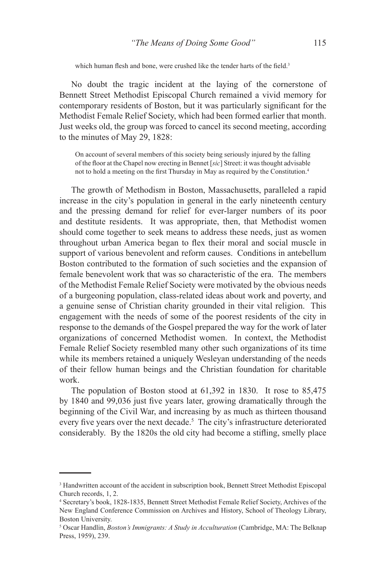which human flesh and bone, were crushed like the tender harts of the field.<sup>3</sup>

No doubt the tragic incident at the laying of the cornerstone of Bennett Street Methodist Episcopal Church remained a vivid memory for contemporary residents of Boston, but it was particularly significant for the Methodist Female Relief Society, which had been formed earlier that month. Just weeks old, the group was forced to cancel its second meeting, according to the minutes of May 29, 1828:

On account of several members of this society being seriously injured by the falling of the floor at the Chapel now erecting in Bennet [*sic*] Street: it was thought advisable not to hold a meeting on the first Thursday in May as required by the Constitution.<sup>4</sup>

The growth of Methodism in Boston, Massachusetts, paralleled a rapid increase in the city's population in general in the early nineteenth century and the pressing demand for relief for ever-larger numbers of its poor and destitute residents. It was appropriate, then, that Methodist women should come together to seek means to address these needs, just as women throughout urban America began to flex their moral and social muscle in support of various benevolent and reform causes. Conditions in antebellum Boston contributed to the formation of such societies and the expansion of female benevolent work that was so characteristic of the era. The members of the Methodist Female Relief Society were motivated by the obvious needs of a burgeoning population, class-related ideas about work and poverty, and a genuine sense of Christian charity grounded in their vital religion. This engagement with the needs of some of the poorest residents of the city in response to the demands of the Gospel prepared the way for the work of later organizations of concerned Methodist women. In context, the Methodist Female Relief Society resembled many other such organizations of its time while its members retained a uniquely Wesleyan understanding of the needs of their fellow human beings and the Christian foundation for charitable work.

The population of Boston stood at 61,392 in 1830. It rose to 85,475 by 1840 and 99,036 just five years later, growing dramatically through the beginning of the Civil War, and increasing by as much as thirteen thousand every five years over the next decade.<sup>5</sup> The city's infrastructure deteriorated considerably. By the 1820s the old city had become a stifling, smelly place

<sup>&</sup>lt;sup>3</sup> Handwritten account of the accident in subscription book, Bennett Street Methodist Episcopal Church records, 1, 2.

<sup>4</sup> Secretary's book, 1828-1835, Bennett Street Methodist Female Relief Society, Archives of the New England Conference Commission on Archives and History, School of Theology Library, Boston University.

<sup>5</sup> Oscar Handlin, *Boston's Immigrants: A Study in Acculturation* (Cambridge, MA: The Belknap Press, 1959), 239.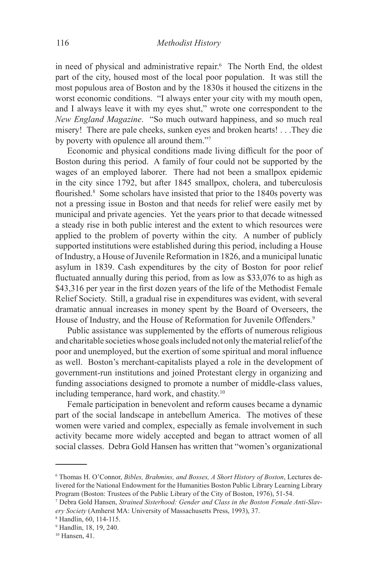in need of physical and administrative repair.<sup>6</sup> The North End, the oldest part of the city, housed most of the local poor population. It was still the most populous area of Boston and by the 1830s it housed the citizens in the worst economic conditions. "I always enter your city with my mouth open, and I always leave it with my eyes shut," wrote one correspondent to the *New England Magazine*. "So much outward happiness, and so much real misery! There are pale cheeks, sunken eyes and broken hearts! . . .They die by poverty with opulence all around them."7

Economic and physical conditions made living difficult for the poor of Boston during this period. A family of four could not be supported by the wages of an employed laborer. There had not been a smallpox epidemic in the city since 1792, but after 1845 smallpox, cholera, and tuberculosis flourished.<sup>8</sup> Some scholars have insisted that prior to the 1840s poverty was not a pressing issue in Boston and that needs for relief were easily met by municipal and private agencies. Yet the years prior to that decade witnessed a steady rise in both public interest and the extent to which resources were applied to the problem of poverty within the city. A number of publicly supported institutions were established during this period, including a House of Industry, a House of Juvenile Reformation in 1826, and a municipal lunatic asylum in 1839. Cash expenditures by the city of Boston for poor relief fluctuated annually during this period, from as low as \$33,076 to as high as \$43,316 per year in the first dozen years of the life of the Methodist Female Relief Society. Still, a gradual rise in expenditures was evident, with several dramatic annual increases in money spent by the Board of Overseers, the House of Industry, and the House of Reformation for Juvenile Offenders.<sup>9</sup>

Public assistance was supplemented by the efforts of numerous religious and charitable societies whose goals included not only the material relief of the poor and unemployed, but the exertion of some spiritual and moral influence as well. Boston's merchant-capitalists played a role in the development of government-run institutions and joined Protestant clergy in organizing and funding associations designed to promote a number of middle-class values, including temperance, hard work, and chastity.10

Female participation in benevolent and reform causes became a dynamic part of the social landscape in antebellum America. The motives of these women were varied and complex, especially as female involvement in such activity became more widely accepted and began to attract women of all social classes. Debra Gold Hansen has written that "women's organizational

<sup>6</sup> Thomas H. O'Connor, *Bibles, Brahmins, and Bosses, A Short History of Boston*, Lectures delivered for the National Endowment for the Humanities Boston Public Library Learning Library Program (Boston: Trustees of the Public Library of the City of Boston, 1976), 51-54.

<sup>7</sup> Debra Gold Hansen, *Strained Sisterhood: Gender and Class in the Boston Female Anti-Slavery Society* (Amherst MA: University of Massachusetts Press, 1993), 37.

<sup>8</sup> Handlin, 60, 114-115.

<sup>9</sup> Handlin, 18, 19, 240.

<sup>10</sup> Hansen, 41.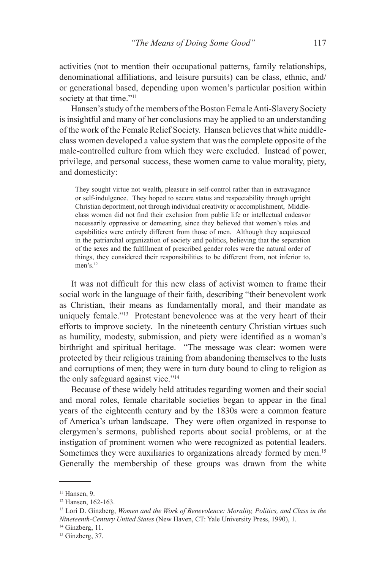activities (not to mention their occupational patterns, family relationships, denominational affiliations, and leisure pursuits) can be class, ethnic, and/ or generational based, depending upon women's particular position within society at that time."<sup>11</sup>

Hansen's study of the members of the Boston Female Anti-Slavery Society is insightful and many of her conclusions may be applied to an understanding of the work of the Female Relief Society. Hansen believes that white middleclass women developed a value system that was the complete opposite of the male-controlled culture from which they were excluded. Instead of power, privilege, and personal success, these women came to value morality, piety, and domesticity:

They sought virtue not wealth, pleasure in self-control rather than in extravagance or self-indulgence. They hoped to secure status and respectability through upright Christian deportment, not through individual creativity or accomplishment, Middleclass women did not find their exclusion from public life or intellectual endeavor necessarily oppressive or demeaning, since they believed that women's roles and capabilities were entirely different from those of men. Although they acquiesced in the patriarchal organization of society and politics, believing that the separation of the sexes and the fulfillment of prescribed gender roles were the natural order of things, they considered their responsibilities to be different from, not inferior to, men's <sup>12</sup>

It was not difficult for this new class of activist women to frame their social work in the language of their faith, describing "their benevolent work as Christian, their means as fundamentally moral, and their mandate as uniquely female."<sup>13</sup> Protestant benevolence was at the very heart of their efforts to improve society. In the nineteenth century Christian virtues such as humility, modesty, submission, and piety were identified as a woman's birthright and spiritual heritage. "The message was clear: women were protected by their religious training from abandoning themselves to the lusts and corruptions of men; they were in turn duty bound to cling to religion as the only safeguard against vice."14

Because of these widely held attitudes regarding women and their social and moral roles, female charitable societies began to appear in the final years of the eighteenth century and by the 1830s were a common feature of America's urban landscape. They were often organized in response to clergymen's sermons, published reports about social problems, or at the instigation of prominent women who were recognized as potential leaders. Sometimes they were auxiliaries to organizations already formed by men.<sup>15</sup> Generally the membership of these groups was drawn from the white

<sup>11</sup> Hansen, 9.

<sup>&</sup>lt;sup>12</sup> Hansen, 162-163.

<sup>13</sup> Lori D. Ginzberg, *Women and the Work of Benevolence: Morality, Politics, and Class in the Nineteenth-Century United States* (New Haven, CT: Yale University Press, 1990), 1.

<sup>&</sup>lt;sup>14</sup> Ginzberg, 11.

 $15$  Ginzberg, 37.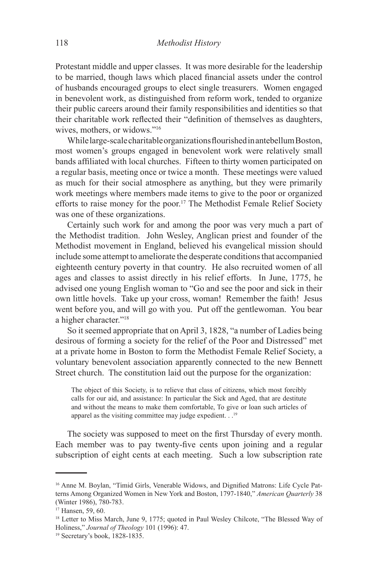Protestant middle and upper classes. It was more desirable for the leadership to be married, though laws which placed financial assets under the control of husbands encouraged groups to elect single treasurers. Women engaged in benevolent work, as distinguished from reform work, tended to organize their public careers around their family responsibilities and identities so that their charitable work reflected their "definition of themselves as daughters, wives, mothers, or widows."16

While large-scale charitable organizations flourished in antebellum Boston, most women's groups engaged in benevolent work were relatively small bands affiliated with local churches. Fifteen to thirty women participated on a regular basis, meeting once or twice a month. These meetings were valued as much for their social atmosphere as anything, but they were primarily work meetings where members made items to give to the poor or organized efforts to raise money for the poor.17 The Methodist Female Relief Society was one of these organizations.

Certainly such work for and among the poor was very much a part of the Methodist tradition. John Wesley, Anglican priest and founder of the Methodist movement in England, believed his evangelical mission should include some attempt to ameliorate the desperate conditions that accompanied eighteenth century poverty in that country. He also recruited women of all ages and classes to assist directly in his relief efforts. In June, 1775, he advised one young English woman to "Go and see the poor and sick in their own little hovels. Take up your cross, woman! Remember the faith! Jesus went before you, and will go with you. Put off the gentlewoman. You bear a higher character."<sup>18</sup>

So it seemed appropriate that on April 3, 1828, "a number of Ladies being desirous of forming a society for the relief of the Poor and Distressed" met at a private home in Boston to form the Methodist Female Relief Society, a voluntary benevolent association apparently connected to the new Bennett Street church. The constitution laid out the purpose for the organization:

The object of this Society, is to relieve that class of citizens, which most forcibly calls for our aid, and assistance: In particular the Sick and Aged, that are destitute and without the means to make them comfortable, To give or loan such articles of apparel as the visiting committee may judge expedient. . .<sup>19</sup>

The society was supposed to meet on the first Thursday of every month. Each member was to pay twenty-five cents upon joining and a regular subscription of eight cents at each meeting. Such a low subscription rate

<sup>16</sup> Anne M. Boylan, "Timid Girls, Venerable Widows, and Dignified Matrons: Life Cycle Patterns Among Organized Women in New York and Boston, 1797-1840," *American Quarterly* 38 (Winter 1986), 780-783.

<sup>17</sup> Hansen, 59, 60.

<sup>&</sup>lt;sup>18</sup> Letter to Miss March, June 9, 1775; quoted in Paul Wesley Chilcote, "The Blessed Way of Holiness," *Journal of Theology* 101 (1996): 47.

<sup>19</sup> Secretary's book, 1828-1835.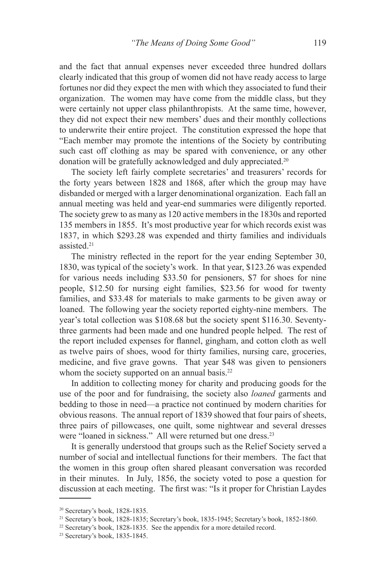and the fact that annual expenses never exceeded three hundred dollars clearly indicated that this group of women did not have ready access to large fortunes nor did they expect the men with which they associated to fund their organization. The women may have come from the middle class, but they were certainly not upper class philanthropists. At the same time, however, they did not expect their new members' dues and their monthly collections to underwrite their entire project. The constitution expressed the hope that "Each member may promote the intentions of the Society by contributing such cast off clothing as may be spared with convenience, or any other donation will be gratefully acknowledged and duly appreciated.20

The society left fairly complete secretaries' and treasurers' records for the forty years between 1828 and 1868, after which the group may have disbanded or merged with a larger denominational organization. Each fall an annual meeting was held and year-end summaries were diligently reported. The society grew to as many as 120 active members in the 1830s and reported 135 members in 1855. It's most productive year for which records exist was 1837, in which \$293.28 was expended and thirty families and individuals assisted<sup>21</sup>

The ministry reflected in the report for the year ending September 30, 1830, was typical of the society's work. In that year, \$123.26 was expended for various needs including \$33.50 for pensioners, \$7 for shoes for nine people, \$12.50 for nursing eight families, \$23.56 for wood for twenty families, and \$33.48 for materials to make garments to be given away or loaned. The following year the society reported eighty-nine members. The year's total collection was \$108.68 but the society spent \$116.30. Seventythree garments had been made and one hundred people helped. The rest of the report included expenses for flannel, gingham, and cotton cloth as well as twelve pairs of shoes, wood for thirty families, nursing care, groceries, medicine, and five grave gowns. That year \$48 was given to pensioners whom the society supported on an annual basis.<sup>22</sup>

In addition to collecting money for charity and producing goods for the use of the poor and for fundraising, the society also *loaned* garments and bedding to those in need—a practice not continued by modern charities for obvious reasons. The annual report of 1839 showed that four pairs of sheets, three pairs of pillowcases, one quilt, some nightwear and several dresses were "loaned in sickness." All were returned but one dress.<sup>23</sup>

It is generally understood that groups such as the Relief Society served a number of social and intellectual functions for their members. The fact that the women in this group often shared pleasant conversation was recorded in their minutes. In July, 1856, the society voted to pose a question for discussion at each meeting. The first was: "Is it proper for Christian Laydes

<sup>20</sup> Secretary's book, 1828-1835.

<sup>21</sup> Secretary's book, 1828-1835; Secretary's book, 1835-1945; Secretary's book, 1852-1860.

<sup>&</sup>lt;sup>22</sup> Secretary's book, 1828-1835. See the appendix for a more detailed record.

<sup>23</sup> Secretary's book, 1835-1845.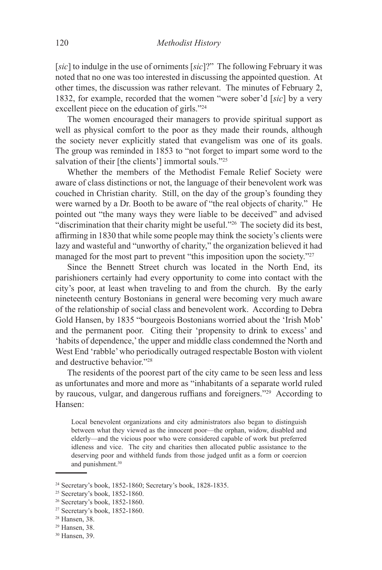[*sic*] to indulge in the use of orniments [*sic*]?" The following February it was noted that no one was too interested in discussing the appointed question. At other times, the discussion was rather relevant. The minutes of February 2, 1832, for example, recorded that the women "were sober'd [*sic*] by a very excellent piece on the education of girls."24

The women encouraged their managers to provide spiritual support as well as physical comfort to the poor as they made their rounds, although the society never explicitly stated that evangelism was one of its goals. The group was reminded in 1853 to "not forget to impart some word to the salvation of their [the clients'] immortal souls."<sup>25</sup>

Whether the members of the Methodist Female Relief Society were aware of class distinctions or not, the language of their benevolent work was couched in Christian charity. Still, on the day of the group's founding they were warned by a Dr. Booth to be aware of "the real objects of charity." He pointed out "the many ways they were liable to be deceived" and advised "discrimination that their charity might be useful."26 The society did its best, affirming in 1830 that while some people may think the society's clients were lazy and wasteful and "unworthy of charity," the organization believed it had managed for the most part to prevent "this imposition upon the society."<sup>27</sup>

Since the Bennett Street church was located in the North End, its parishioners certainly had every opportunity to come into contact with the city's poor, at least when traveling to and from the church. By the early nineteenth century Bostonians in general were becoming very much aware of the relationship of social class and benevolent work. According to Debra Gold Hansen, by 1835 "bourgeois Bostonians worried about the 'Irish Mob' and the permanent poor. Citing their 'propensity to drink to excess' and 'habits of dependence,' the upper and middle class condemned the North and West End 'rabble' who periodically outraged respectable Boston with violent and destructive behavior."28

The residents of the poorest part of the city came to be seen less and less as unfortunates and more and more as "inhabitants of a separate world ruled by raucous, vulgar, and dangerous ruffians and foreigners."29 According to Hansen:

Local benevolent organizations and city administrators also began to distinguish between what they viewed as the innocent poor—the orphan, widow, disabled and elderly—and the vicious poor who were considered capable of work but preferred idleness and vice. The city and charities then allocated public assistance to the deserving poor and withheld funds from those judged unfit as a form or coercion and punishment.<sup>30</sup>

<sup>24</sup> Secretary's book, 1852-1860; Secretary's book, 1828-1835.

<sup>25</sup> Secretary's book, 1852-1860.

<sup>26</sup> Secretary's book, 1852-1860.

<sup>27</sup> Secretary's book, 1852-1860.

<sup>28</sup> Hansen, 38.

<sup>29</sup> Hansen, 38.

<sup>30</sup> Hansen, 39.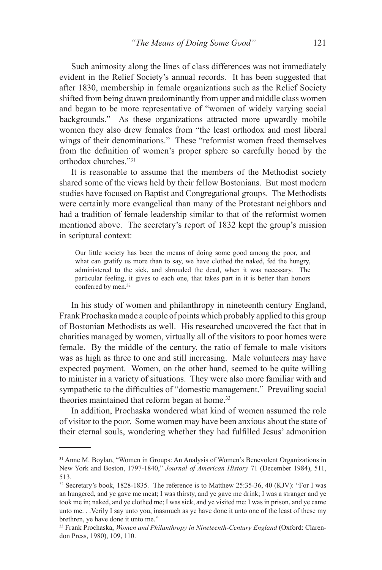Such animosity along the lines of class differences was not immediately evident in the Relief Society's annual records. It has been suggested that after 1830, membership in female organizations such as the Relief Society shifted from being drawn predominantly from upper and middle class women and began to be more representative of "women of widely varying social backgrounds." As these organizations attracted more upwardly mobile women they also drew females from "the least orthodox and most liberal wings of their denominations." These "reformist women freed themselves from the definition of women's proper sphere so carefully honed by the orthodox churches."31

It is reasonable to assume that the members of the Methodist society shared some of the views held by their fellow Bostonians. But most modern studies have focused on Baptist and Congregational groups. The Methodists were certainly more evangelical than many of the Protestant neighbors and had a tradition of female leadership similar to that of the reformist women mentioned above. The secretary's report of 1832 kept the group's mission in scriptural context:

Our little society has been the means of doing some good among the poor, and what can gratify us more than to say, we have clothed the naked, fed the hungry, administered to the sick, and shrouded the dead, when it was necessary. The particular feeling, it gives to each one, that takes part in it is better than honors conferred by men.<sup>32</sup>

In his study of women and philanthropy in nineteenth century England, Frank Prochaska made a couple of points which probably applied to this group of Bostonian Methodists as well. His researched uncovered the fact that in charities managed by women, virtually all of the visitors to poor homes were female. By the middle of the century, the ratio of female to male visitors was as high as three to one and still increasing. Male volunteers may have expected payment. Women, on the other hand, seemed to be quite willing to minister in a variety of situations. They were also more familiar with and sympathetic to the difficulties of "domestic management." Prevailing social theories maintained that reform began at home.<sup>33</sup>

In addition, Prochaska wondered what kind of women assumed the role of visitor to the poor. Some women may have been anxious about the state of their eternal souls, wondering whether they had fulfilled Jesus' admonition

<sup>&</sup>lt;sup>31</sup> Anne M. Boylan, "Women in Groups: An Analysis of Women's Benevolent Organizations in New York and Boston, 1797-1840," *Journal of American History* 71 (December 1984), 511, 513.

<sup>32</sup> Secretary's book, 1828-1835. The reference is to Matthew 25:35-36, 40 (KJV): "For I was an hungered, and ye gave me meat; I was thirsty, and ye gave me drink; I was a stranger and ye took me in; naked, and ye clothed me; I was sick, and ye visited me: I was in prison, and ye came unto me. . .Verily I say unto you, inasmuch as ye have done it unto one of the least of these my brethren, ye have done it unto me."

<sup>33</sup> Frank Prochaska, *Women and Philanthropy in Nineteenth-Century England* (Oxford: Clarendon Press, 1980), 109, 110.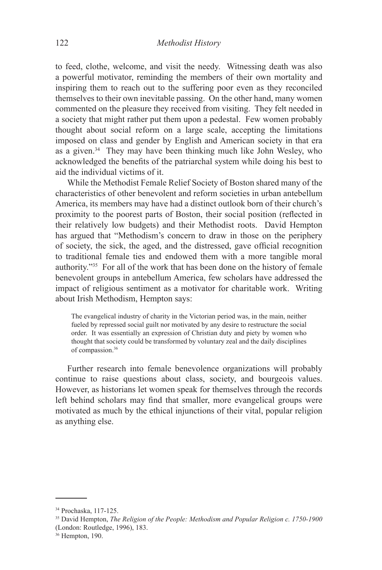to feed, clothe, welcome, and visit the needy. Witnessing death was also a powerful motivator, reminding the members of their own mortality and inspiring them to reach out to the suffering poor even as they reconciled themselves to their own inevitable passing. On the other hand, many women commented on the pleasure they received from visiting. They felt needed in a society that might rather put them upon a pedestal. Few women probably thought about social reform on a large scale, accepting the limitations imposed on class and gender by English and American society in that era as a given.<sup>34</sup> They may have been thinking much like John Wesley, who acknowledged the benefits of the patriarchal system while doing his best to aid the individual victims of it.

While the Methodist Female Relief Society of Boston shared many of the characteristics of other benevolent and reform societies in urban antebellum America, its members may have had a distinct outlook born of their church's proximity to the poorest parts of Boston, their social position (reflected in their relatively low budgets) and their Methodist roots. David Hempton has argued that "Methodism's concern to draw in those on the periphery of society, the sick, the aged, and the distressed, gave official recognition to traditional female ties and endowed them with a more tangible moral authority."35 For all of the work that has been done on the history of female benevolent groups in antebellum America, few scholars have addressed the impact of religious sentiment as a motivator for charitable work. Writing about Irish Methodism, Hempton says:

The evangelical industry of charity in the Victorian period was, in the main, neither fueled by repressed social guilt nor motivated by any desire to restructure the social order. It was essentially an expression of Christian duty and piety by women who thought that society could be transformed by voluntary zeal and the daily disciplines of compassion.36

Further research into female benevolence organizations will probably continue to raise questions about class, society, and bourgeois values. However, as historians let women speak for themselves through the records left behind scholars may find that smaller, more evangelical groups were motivated as much by the ethical injunctions of their vital, popular religion as anything else.

<sup>34</sup> Prochaska, 117-125.

<sup>35</sup> David Hempton, *The Religion of the People: Methodism and Popular Religion c. 1750-1900* (London: Routledge, 1996), 183.

<sup>36</sup> Hempton, 190.